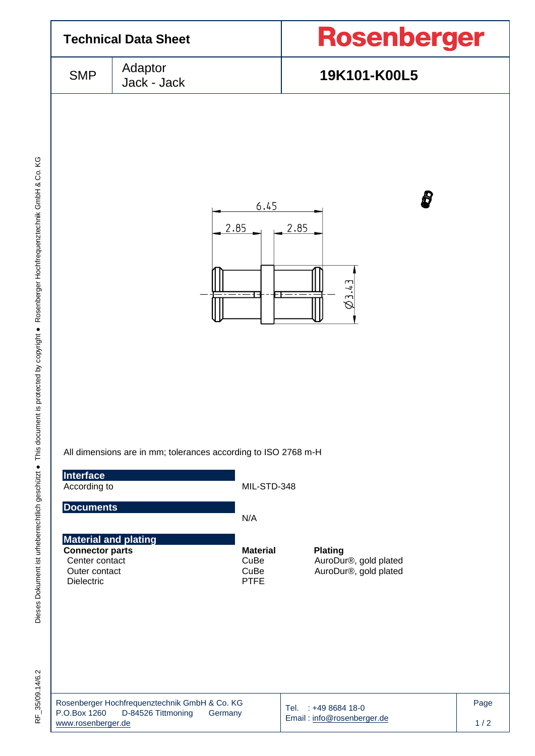

 $-35/09.14/6.2$  $\frac{L}{\alpha}$